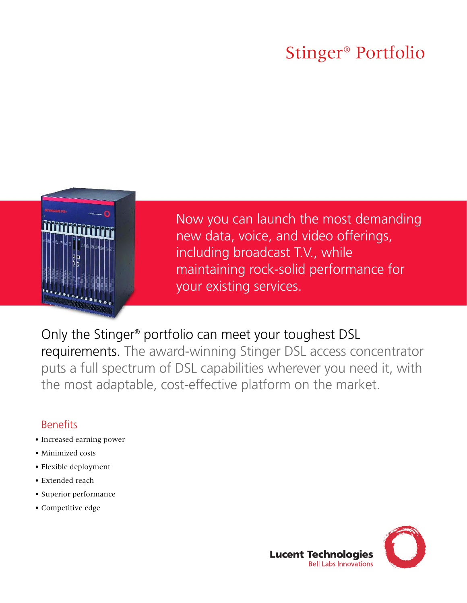# Stinger® Portfolio



Now you can launch the most demanding new data, voice, and video offerings, including broadcast T.V., while maintaining rock-solid performance for your existing services.

## Only the Stinger® portfolio can meet your toughest DSL

requirements. The award-winning Stinger DSL access concentrator puts a full spectrum of DSL capabilities wherever you need it, with the most adaptable, cost-effective platform on the market.

### **Benefits**

- Increased earning power
- Minimized costs
- Flexible deployment
- Extended reach
- Superior performance
- Competitive edge

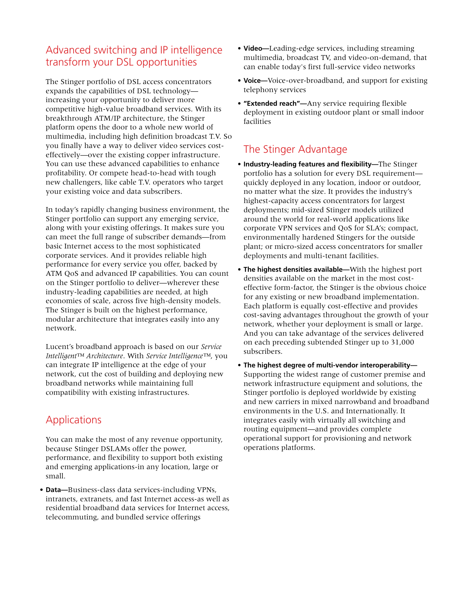### Advanced switching and IP intelligence transform your DSL opportunities

The Stinger portfolio of DSL access concentrators expands the capabilities of DSL technology increasing your opportunity to deliver more competitive high-value broadband services. With its breakthrough ATM/IP architecture, the Stinger platform opens the door to a whole new world of multimedia, including high definition broadcast T.V. So you finally have a way to deliver video services costeffectively—over the existing copper infrastructure. You can use these advanced capabilities to enhance profitability. Or compete head-to-head with tough new challengers, like cable T.V. operators who target your existing voice and data subscribers.

In today's rapidly changing business environment, the Stinger portfolio can support any emerging service, along with your existing offerings. It makes sure you can meet the full range of subscriber demands—from basic Internet access to the most sophisticated corporate services. And it provides reliable high performance for every service you offer, backed by ATM QoS and advanced IP capabilities. You can count on the Stinger portfolio to deliver—wherever these industry-leading capabilities are needed, at high economies of scale, across five high-density models. The Stinger is built on the highest performance, modular architecture that integrates easily into any network.

Lucent's broadband approach is based on our *Service Intelligent™ Architecture*. With *Service Intelligence™*, you can integrate IP intelligence at the edge of your network, cut the cost of building and deploying new broadband networks while maintaining full compatibility with existing infrastructures.

### Applications

You can make the most of any revenue opportunity, because Stinger DSLAMs offer the power, performance, and flexibility to support both existing and emerging applications-in any location, large or small.

• **Data—**Business-class data services-including VPNs, intranets, extranets, and fast Internet access-as well as residential broadband data services for Internet access, telecommuting, and bundled service offerings

- **Video—**Leading-edge services, including streaming multimedia, broadcast TV, and video-on-demand, that can enable today's first full-service video networks
- **Voice—**Voice-over-broadband, and support for existing telephony services
- **"Extended reach"—**Any service requiring flexible deployment in existing outdoor plant or small indoor facilities

### The Stinger Advantage

- **Industry-leading features and flexibility—**The Stinger portfolio has a solution for every DSL requirement quickly deployed in any location, indoor or outdoor, no matter what the size. It provides the industry's highest-capacity access concentrators for largest deployments; mid-sized Stinger models utilized around the world for real-world applications like corporate VPN services and QoS for SLA's; compact, environmentally hardened Stingers for the outside plant; or micro-sized access concentrators for smaller deployments and multi-tenant facilities.
- **The highest densities available—**With the highest port densities available on the market in the most costeffective form-factor, the Stinger is the obvious choice for any existing or new broadband implementation. Each platform is equally cost-effective and provides cost-saving advantages throughout the growth of your network, whether your deployment is small or large. And you can take advantage of the services delivered on each preceding subtended Stinger up to 31,000 subscribers.
- **The highest degree of multi-vendor interoperability—** Supporting the widest range of customer premise and network infrastructure equipment and solutions, the Stinger portfolio is deployed worldwide by existing and new carriers in mixed narrowband and broadband environments in the U.S. and Internationally. It integrates easily with virtually all switching and routing equipment—and provides complete operational support for provisioning and network operations platforms.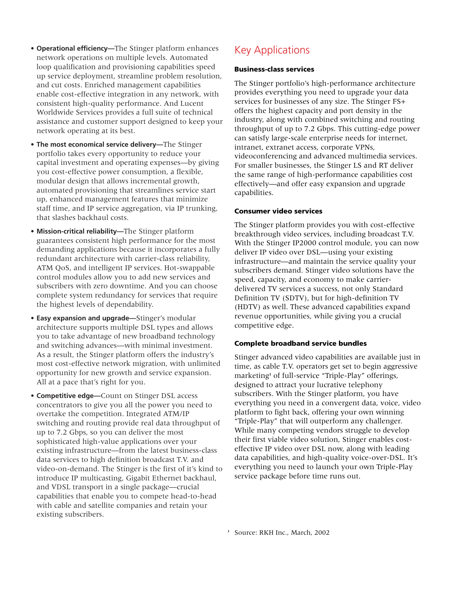- **Operational efficiency—**The Stinger platform enhances network operations on multiple levels. Automated loop qualification and provisioning capabilities speed up service deployment, streamline problem resolution, and cut costs. Enriched management capabilities enable cost-effective integration in any network, with consistent high-quality performance. And Lucent Worldwide Services provides a full suite of technical assistance and customer support designed to keep your network operating at its best.
- **The most economical service delivery—**The Stinger portfolio takes every opportunity to reduce your capital investment and operating expenses—by giving you cost-effective power consumption, a flexible, modular design that allows incremental growth, automated provisioning that streamlines service start up, enhanced management features that minimize staff time, and IP service aggregation, via IP trunking, that slashes backhaul costs.
- **Mission-critical reliability—**The Stinger platform guarantees consistent high performance for the most demanding applications because it incorporates a fully redundant architecture with carrier-class reliability, ATM QoS, and intelligent IP services. Hot-swappable control modules allow you to add new services and subscribers with zero downtime. And you can choose complete system redundancy for services that require the highest levels of dependability.
- **Easy expansion and upgrade—**Stinger's modular architecture supports multiple DSL types and allows you to take advantage of new broadband technology and switching advances—with minimal investment. As a result, the Stinger platform offers the industry's most cost-effective network migration, with unlimited opportunity for new growth and service expansion. All at a pace that's right for you.
- **Competitive edge—**Count on Stinger DSL access concentrators to give you all the power you need to overtake the competition. Integrated ATM/IP switching and routing provide real data throughput of up to 7.2 Gbps, so you can deliver the most sophisticated high-value applications over your existing infrastructure—from the latest business-class data services to high definition broadcast T.V. and video-on-demand. The Stinger is the first of it's kind to introduce IP multicasting, Gigabit Ethernet backhaul, and VDSL transport in a single package—crucial capabilities that enable you to compete head-to-head with cable and satellite companies and retain your existing subscribers.

### Key Applications

#### **Business-class services**

The Stinger portfolio's high-performance architecture provides everything you need to upgrade your data services for businesses of any size. The Stinger FS+ offers the highest capacity and port density in the industry, along with combined switching and routing throughput of up to 7.2 Gbps. This cutting-edge power can satisfy large-scale enterprise needs for internet, intranet, extranet access, corporate VPNs, videoconferencing and advanced multimedia services. For smaller businesses, the Stinger LS and RT deliver the same range of high-performance capabilities cost effectively—and offer easy expansion and upgrade capabilities.

#### **Consumer video services**

The Stinger platform provides you with cost-effective breakthrough video services, including broadcast T.V. With the Stinger IP2000 control module, you can now deliver IP video over DSL—using your existing infrastructure—and maintain the service quality your subscribers demand. Stinger video solutions have the speed, capacity, and economy to make carrierdelivered TV services a success, not only Standard Definition TV (SDTV), but for high-definition TV (HDTV) as well. These advanced capabilities expand revenue opportunities, while giving you a crucial competitive edge.

#### **Complete broadband service bundles**

Stinger advanced video capabilities are available just in time, as cable T.V. operators get set to begin aggressive marketing<sup>1</sup> of full-service "Triple-Play" offerings, designed to attract your lucrative telephony subscribers. With the Stinger platform, you have everything you need in a convergent data, voice, video platform to fight back, offering your own winning "Triple-Play" that will outperform any challenger. While many competing vendors struggle to develop their first viable video solution, Stinger enables costeffective IP video over DSL now, along with leading data capabilities, and high-quality voice-over-DSL. It's everything you need to launch your own Triple-Play service package before time runs out.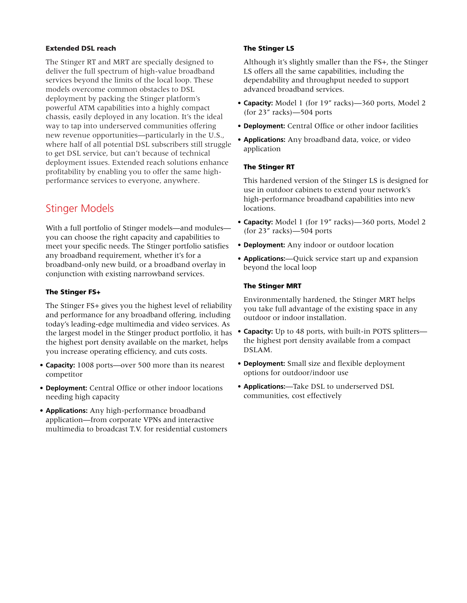#### **Extended DSL reach**

The Stinger RT and MRT are specially designed to deliver the full spectrum of high-value broadband services beyond the limits of the local loop. These models overcome common obstacles to DSL deployment by packing the Stinger platform's powerful ATM capabilities into a highly compact chassis, easily deployed in any location. It's the ideal way to tap into underserved communities offering new revenue opportunities—particularly in the U.S., where half of all potential DSL subscribers still struggle to get DSL service, but can't because of technical deployment issues. Extended reach solutions enhance profitability by enabling you to offer the same highperformance services to everyone, anywhere.

### Stinger Models

With a full portfolio of Stinger models—and modules you can choose the right capacity and capabilities to meet your specific needs. The Stinger portfolio satisfies any broadband requirement, whether it's for a broadband-only new build, or a broadband overlay in conjunction with existing narrowband services.

#### **The Stinger FS+**

The Stinger FS+ gives you the highest level of reliability and performance for any broadband offering, including today's leading-edge multimedia and video services. As the largest model in the Stinger product portfolio, it has the highest port density available on the market, helps you increase operating efficiency, and cuts costs.

- **Capacity:** 1008 ports—over 500 more than its nearest competitor
- **Deployment:** Central Office or other indoor locations needing high capacity
- **Applications:** Any high-performance broadband application—from corporate VPNs and interactive multimedia to broadcast T.V. for residential customers

#### **The Stinger LS**

Although it's slightly smaller than the FS+, the Stinger LS offers all the same capabilities, including the dependability and throughput needed to support advanced broadband services.

- **Capacity:** Model 1 (for 19" racks)—360 ports, Model 2 (for 23" racks)—504 ports
- **Deployment:** Central Office or other indoor facilities
- **Applications:** Any broadband data, voice, or video application

#### **The Stinger RT**

This hardened version of the Stinger LS is designed for use in outdoor cabinets to extend your network's high-performance broadband capabilities into new locations.

- **Capacity:** Model 1 (for 19" racks)—360 ports, Model 2 (for 23" racks)—504 ports
- **Deployment:** Any indoor or outdoor location
- **Applications:**—Quick service start up and expansion beyond the local loop

#### **The Stinger MRT**

Environmentally hardened, the Stinger MRT helps you take full advantage of the existing space in any outdoor or indoor installation.

- **Capacity:** Up to 48 ports, with built-in POTS splitters the highest port density available from a compact DSLAM.
- **Deployment:** Small size and flexible deployment options for outdoor/indoor use
- **Applications:**—Take DSL to underserved DSL communities, cost effectively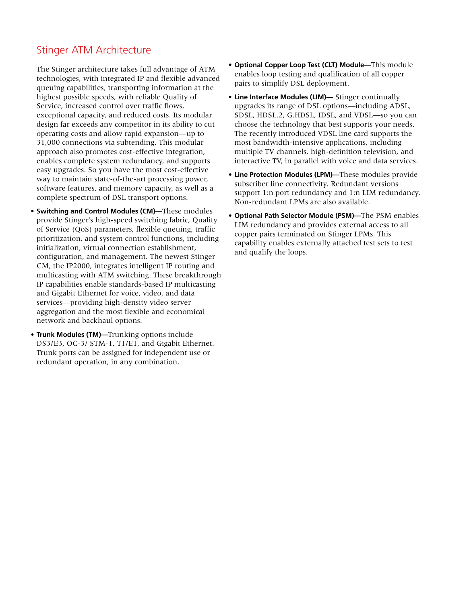### Stinger ATM Architecture

The Stinger architecture takes full advantage of ATM technologies, with integrated IP and flexible advanced queuing capabilities, transporting information at the highest possible speeds, with reliable Quality of Service, increased control over traffic flows, exceptional capacity, and reduced costs. Its modular design far exceeds any competitor in its ability to cut operating costs and allow rapid expansion—up to 31,000 connections via subtending. This modular approach also promotes cost-effective integration, enables complete system redundancy, and supports easy upgrades. So you have the most cost-effective way to maintain state-of-the-art processing power, software features, and memory capacity, as well as a complete spectrum of DSL transport options.

- **Switching and Control Modules (CM)—**These modules provide Stinger's high-speed switching fabric, Quality of Service (QoS) parameters, flexible queuing, traffic prioritization, and system control functions, including initialization, virtual connection establishment, configuration, and management. The newest Stinger CM, the IP2000, integrates intelligent IP routing and multicasting with ATM switching. These breakthrough IP capabilities enable standards-based IP multicasting and Gigabit Ethernet for voice, video, and data services—providing high-density video server aggregation and the most flexible and economical network and backhaul options.
- **Trunk Modules (TM)—**Trunking options include DS3/E3, OC-3/ STM-1, T1/E1, and Gigabit Ethernet. Trunk ports can be assigned for independent use or redundant operation, in any combination.
- **Optional Copper Loop Test (CLT) Module—**This module enables loop testing and qualification of all copper pairs to simplify DSL deployment.
- **Line Interface Modules (LIM)—** Stinger continually upgrades its range of DSL options—including ADSL, SDSL, HDSL.2, G.HDSL, IDSL, and VDSL—so you can choose the technology that best supports your needs. The recently introduced VDSL line card supports the most bandwidth-intensive applications, including multiple TV channels, high-definition television, and interactive TV, in parallel with voice and data services.
- **Line Protection Modules (LPM)—**These modules provide subscriber line connectivity. Redundant versions support 1:n port redundancy and 1:n LIM redundancy. Non-redundant LPMs are also available.
- **Optional Path Selector Module (PSM)—**The PSM enables LIM redundancy and provides external access to all copper pairs terminated on Stinger LPMs. This capability enables externally attached test sets to test and qualify the loops.